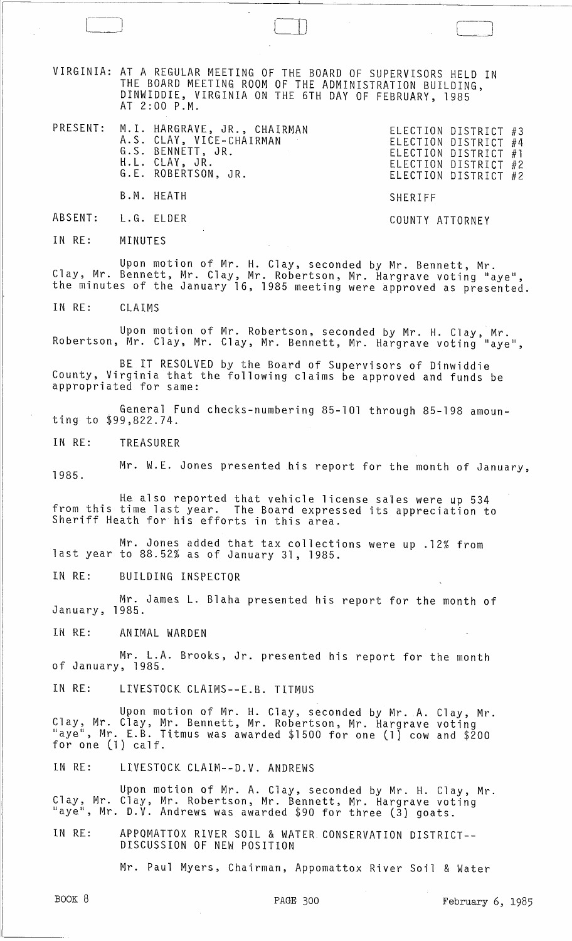VIRGINIA: AT A REGULAR MEETING OF THE BOARD OF SUPERVISORS HELD IN THE BOARD MEETING ROOM OF THE ADMINISTRATION BUILDING, DINWIDDIE, VIRGINIA ON THE 6TH DAY OF FEBRUARY, 1985 AT 2:00 P.M.

) and it is a set of the set of  $\Box$ 

PRESENT: M.I. HARGRAVE, JR., CHAIRMAN ELECTION DISTRICT A.S. CLAY, VICE-CHAIRMAN ELECTION DISTRICT G. S. BENNETT, JR. ELECTION DISTRICT H.L. CLAY, JR.<br>CLECTION DISTRICT G.E. ROBERTSON, JR. ELECTION DISTRICT B.M. HEATH SHERIFF ELECTION DISTRICT #3 ELECTION DISTRICT #4 ELECTION DISTRICT #1 #2 #2

ABSENT: L.G. ELDER COUNTY ATTORNEY

IN RE: MINUTES

 $\sqrt{2}$ 

Upon motion of Mr. H. Clay, seconded by Mr. Bennett, Mr. Clay, Mr. Bennett, Mr. Clay, Mr. Robertson, Mr. Hargrave voting "aye", the minutes of the January 16, 1985 meeting were approved as presented.

IN RE: CLAIMS

Upon motion of Mr. Robertson, seconded by Mr. H. Clay, Mr. Robertson, Mr. Clay, Mr. Clay, Mr. Bennett, Mr. Hargrave voting "aye",

BE IT RESOLVED by the Board of Supervisors of Dinwiddie County, Virginia that the following claims be approved and funds be appropriated for same:

General Fund checks-numbering 85-101 through 85-198 amounting to \$99,822.74.

IN RE: TREASURER

1985. Mr. W.E. Jones presented his report for the month of January,

He also reported that vehicle license sales were up 534 from this time last year. The Board expressed its appreciation to Sheriff Heath for his efforts in this area.

Mr. Jones added that tax collections were up .12% from last year to 88.52% as of January 31, 1985.

IN RE: BUILDING INSPECTOR

Mr. James L. Blaha presented his report for the month of January, 1985.

IN RE: ANIMAL WARDEN

Mr. L.A. Brooks, Jr. presented his report for the month of January, 1985.

IN RE: LIVESTOCK CLAIMS--E.B. TITMUS

Upon motion of Mr. H. Clay, seconded by Mr. A. Clay, Mr. Clay, Mr. Clay, Mr. Bennett, Mr. Robertson, Mr. Hargrave voting "aye", Mr. E. B. Titmus was awarded \$1500 for one (l) cow and \$200 for one (1) calf.

IN RE: LIVESTOCK CLAIM--D.V. ANDREWS

Upon motion of Mr. A. Clay, seconded by Mr. H. Clay, Mr.<br>Clay, Mr. Clay, Mr. Robertson, Mr. Bennett, Mr. Hargrave voting "aye", Mr. D.V. Andrews was awarded \$90 for three (3) goats.

IN RE: APPOMATTOX RIVER SOIL & WATER CONSERVATION DISTRICT-- DISCUSSION OF NEW POSITION

Mr. Paul Myers, Chairman, Appomattox River Soil & Water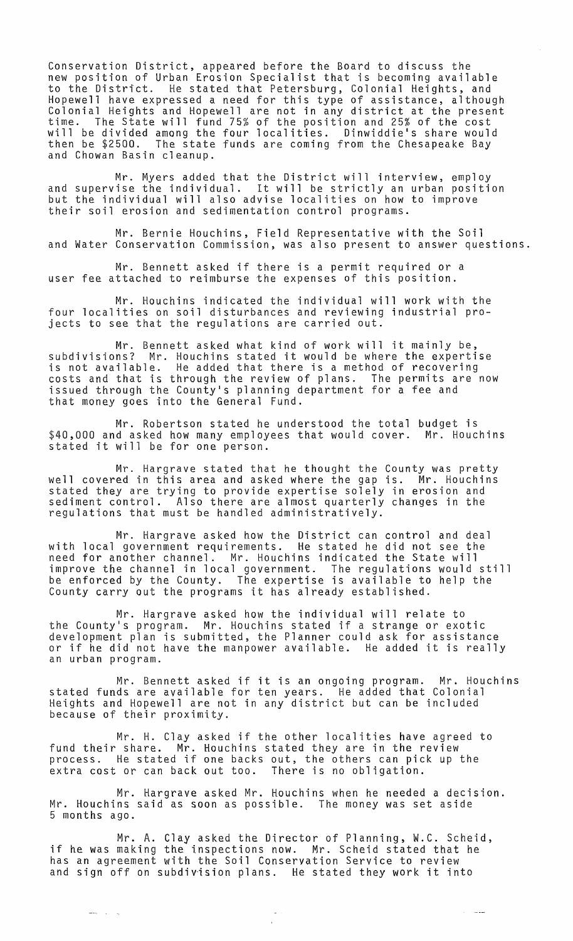Conservation District, appeared before the Board to discuss the new position of Urban Erosion Specialist that is becoming available to the District. He stated that Petersburg, Colonial Heights, and Hopewell have expressed a need for this type of assistance, although Colonial Heights and Hopewell are not in any district at the present time. The State will fund 75% of the position and 25% of the cost will be divided among the four localities. Dinwiddie's share would then be \$2500. The state funds are coming from the Chesapeake Bay and Chowan Basin cleanup.

Mr. Myers added that the District will interview, employ and supervise the individual. It will be strictly an urban position but the individual will also advise localities on how to improve their soil erosion and sedimentation control programs.

Mr. Bernie Houchins, Field Representative with the Soil and Water Conservation Commission, was also present to answer questions.

Mr. Bennett asked if there is a permit required or a user fee attached to reimburse the expenses of this position.

Mr. Houchins indicated the individual will work with the four localities on soil disturbances and reviewing industrial projects to see that the regulations are carried out.

Mr. Bennett asked what kind of work will it mainly be, subdivisions? Mr. Houchins stated it would be where the expertise is not available. He added that there is a method of recovering costs and that is through the review of plans. The permits are now issued through the County's planning department for a fee and that money goes into the General Fund.

Mr. Robertson stated he understood the total budget is \$40,000 and asked how many employees that would cover. Mr. Houchins stated it will be for one person.

Mr. Hargrave stated that he thought the County was pretty well covered in this area and asked where the gap is. Mr. Houchins stated they are trying to provide expertise solely in erosion and sediment control. Also there are almost quarterly changes in the regulations that must be handled administratively.

Mr. Hargrave asked how the District can control and deal with local government requirements. He stated he did not see the need for another channel. Mr. Houchins indicated the State will improve the channel in local government. The regulations would still be enforced by the County. The expertise is available to help the County carry out the programs it has already established.

Mr. Hargrave asked how the individual will relate to the County's program. Mr. Houchins stated if a strange or exotic development plan is submitted, the Planner could ask for assistance deveropment plan is submitted, the flammer could ask for assistance<br>or if he did not have the manpower available. He added it is really an urban program.

Mr. Bennett asked if it is an ongoing program. Mr. Houchins stated funds are available for ten years. He added that Colonial Heights and Hopewell are not in any district but can be included because of their proximity.

Mr. H. Clay asked if the other localities have agreed to fund their share. Mr. Houchins stated they are in the review process. He stated if one backs out, the others can pick up the extra cost or can back out too. There is no obligation.

Mr. Hargrave asked Mr. Houchins when he needed a decision. Mr. Houchins said as soon as possible. The money was set aside 5 months ago.

Mr. A. Clay asked the Director of Planning, W.C. Scheid, if he was making the inspections now. Mr. Scheid stated that he has an agreement with the Soil Conservation Service to review and sign off on subdivision plans. He stated they work it into

 $\frac{1}{2} \frac{1}{2} \frac{1}{2} \frac{1}{2} \frac{1}{2} \frac{1}{2} \frac{1}{2} \frac{1}{2} \frac{1}{2} \frac{1}{2} \frac{1}{2} \frac{1}{2} \frac{1}{2} \frac{1}{2} \frac{1}{2} \frac{1}{2} \frac{1}{2} \frac{1}{2} \frac{1}{2} \frac{1}{2} \frac{1}{2} \frac{1}{2} \frac{1}{2} \frac{1}{2} \frac{1}{2} \frac{1}{2} \frac{1}{2} \frac{1}{2} \frac{1}{2} \frac{1}{2} \frac{1}{2} \frac{$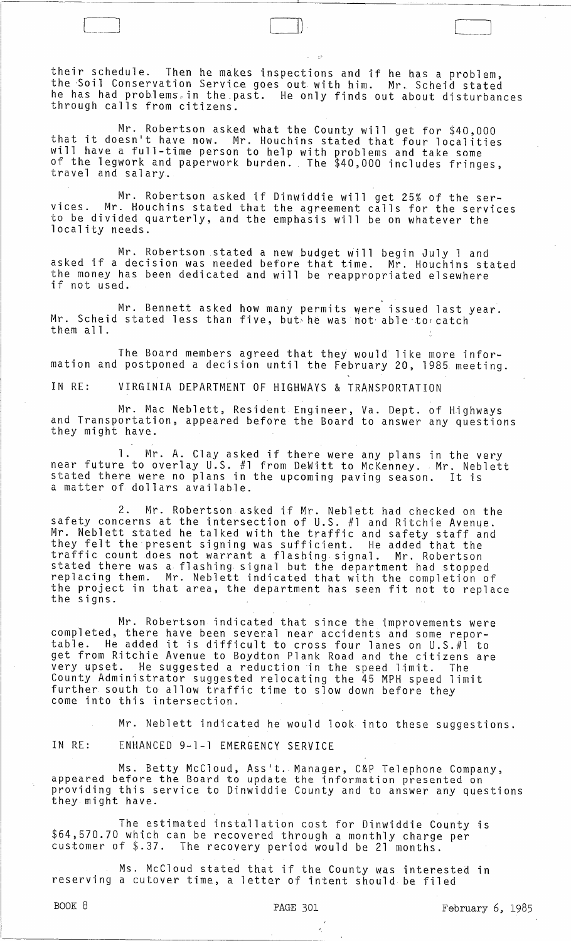their schedule. Then he makes inspections and if he has a problem, the Soil Conservation Service goes out with him. Mr. Scheid stated he has had problems in the past. He only finds out about disturbances through calls from citizens.

il)

Mr. Robertson asked what the County will get for \$40,000 that it doesn't have now. Mr. Houchins stated that four localities will have a full-time person to help with problems and take some of the legwork and paperwork burden. The \$40,000 includes fringes,<br>travel and salary.

Mr. Robertson asked if Dinwiddie will get 25% of the services. Mr. Houchins stated that the agreement calls for the services to be divided quarterly, and the emphasis will be on whatever the locality needs.

Mr. Robertson stated a new budget will begin July 1 and asked if a decision was needed before that time. Mr. Houchins stated the money has been dedicated and will be reappropriated elsewhere if not used.

<, Mr. Bennett asked how many permits were issued last year. Mr. Scheid stated less than five, but he was not able to catch them all.

The Board members agreed that they would like more information and postponed a decision until the February 20, 1985 meeting.

IN RE: VIRGINIA DEPARTMENT OF HIGHWAYS & TRANSPORTATION

Mr. Mac Neblett, Resident Engineer, Va. Dept. of Highways and Transportation, appeared before the Board to answer any questions<br>they might have.

1. Mr. A. Clay asked if there were any plans in the very near future to overlay U.S. #1 from DeWitt to McKenney. Mr. Neblett stated there were no plans in the upcoming paving season. It is a matter of dollars available.

2. Mr. Robertson asked if Mr. Neblett had checked on the safety concerns at the intersection of U.S. #1 and Ritchie Avenue. Mr. Neblett stated he talked with the traffic and safety staff and they felt the present signing was sufficient. He added that the traffic count does not warrant a flashing signal. Mr. Robertson stated there was a flashing. signal but the department had stopped replacing them. Mr. Neblett indicated that with the completion of repracing enem. This weblett indicated that with the completion of<br>the project in that area, the department has seen fit not to replace<br>the signs.

Mr. Robertson indicated that since the improvements were completed, there have been several near accidents and some reportable. He added it is difficult to cross four lanes on U.S.#l to get from Ritchie Avenue to Boydton Plank Road and the citizens are very upset. He suggested a reduction in the speed limit. The County Administrator suggested relocating the 45 MPH speed limit further south to allow traffic time to slow down before they come into this intersection.

Mr. Neblett indicated he would look into these suggestions.

IN RE: ENHANCED 9-1-1 EMERGENCY SERVICE

Ms. Betty McCloud, Asslt. Manager, C&P Telephone Company, appeared before the Board to update the information presented on providing this service to Dinwiddie County and to answer any questions<br>they might have.

The estimated installation cost for Dinwiddie County is \$64,570.70 which can be recovered through a monthly charge per customer of \$.37. The recovery period would be 21 months.

Ms. McCloud stated that if the County was interested in reserving a cutover time, a letter of intent should be filed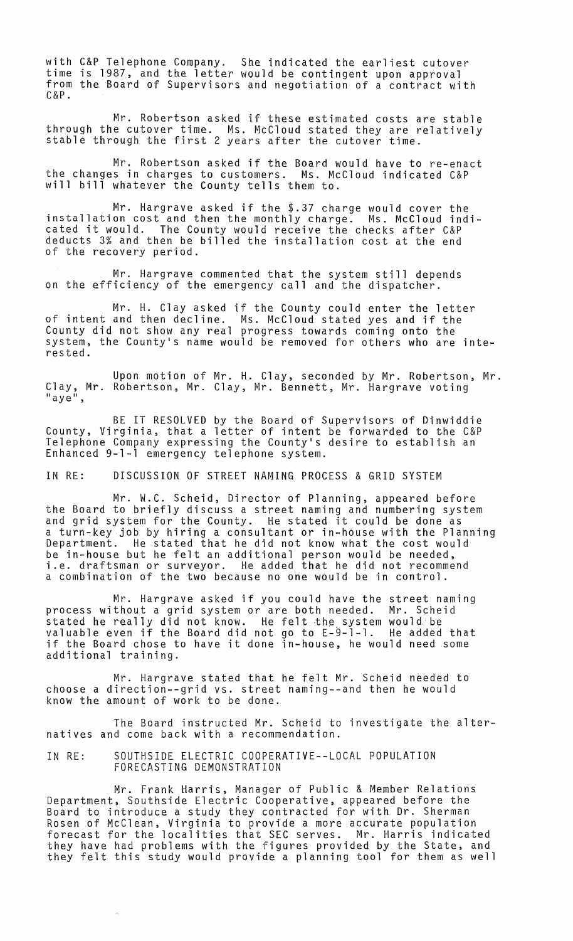with C&P Telephone Company. She indicated the earliest cutover time is 1987, and the letter would be contingent upon approval from the Board of Supervisors and negotiation of a contract with  $C & P$ .

Mr. Robertson asked if these estimated costs are stable through the cutover time. Ms. McCloud stated they are relatively stable through the first 2 years after the cutover time.

Mr. Robertson asked if the Board would have to re-enact the changes in charges to customers. Ms. McCloud indicated C&P will bill whatever the County tells them to.

Mr. Hargrave asked if the \$.37 charge would cover the installation cost and then the monthly charge. Ms. McCloud indicated it would. The County would receive the checks after C&P deducts 3% and then be billed the installation cost at the end of the recovery period.

Mr. Hargrave commented that the system still depends on the efficiency of the emergency call and the dispatcher.

Mr. H. Clay asked if the County could enter the letter of intent and then decline. Ms. McCloud stated yes and if the County did not show any real progress towards coming onto the system, the County's name would be removed for others who are interested.

Upon motion of Mr. H. Clay, seconded by Mr. Robertson, Mr. Clay, Mr. Robertson, Mr. Clay, Mr. Bennett, Mr. Hargrave voting<br>"aye",

BE IT RESOLVED by the Board of Supervisors of Dinwiddie County, Virginia, that a letter of intent be forwarded to the C&P Telephone Company expressing the County's desire to establish an Enhanced 9-1-1 emergency telephone system.

IN RE: DISCUSSION OF STREET NAMING PROCESS & GRID SYSTEM

Mr. W.C. Scheid, Director of Planning, appeared before the Board to briefly discuss a street naming and numbering system and grid system for the County. He stated it could be done as a turn-key job by hiring a consultant or in-house with the Planning Department. He stated that he did not know what the cost would be in-house but he felt an additional person would be needed, i.e. draftsman or surveyor. He added that he did not recommend a combination of the two because no one would be in control.

Mr. Hargrave asked if you could have the street naming process without a grid system or are both needed. Mr. Scheid stated he really did not know. He felt the system would be valuable even if the Board did not go to E-9-1-1. He added that if the Board chose to have it done in-house, he would need some additional training.

Mr. Hargrave stated that he felt Mr. Scheid needed to choose a direction--grid vs. street naming--and then he would know the amount of work to be done.

The Board instructed Mr. Scheid to investigate the alternatives and come back with a recommendation.

IN RE: SOUTHSIDE ELECTRIC COOPERATIVE--LOCAL POPULATION FORECASTING DEMONSTRATION

Mr. Frank Harris, Manager of Public & Member Relations Department, Southside Electric Cooperative, appeared before the Board to introduce a study they contracted for with Dr. Sherman Rosen of McClean, Virginia to provide a more accurate population forecast for the localities that SEC serves. Mr. Harris indicated they have had problems with the figures provided by the State, and they felt this study would provide a planning tool for them as well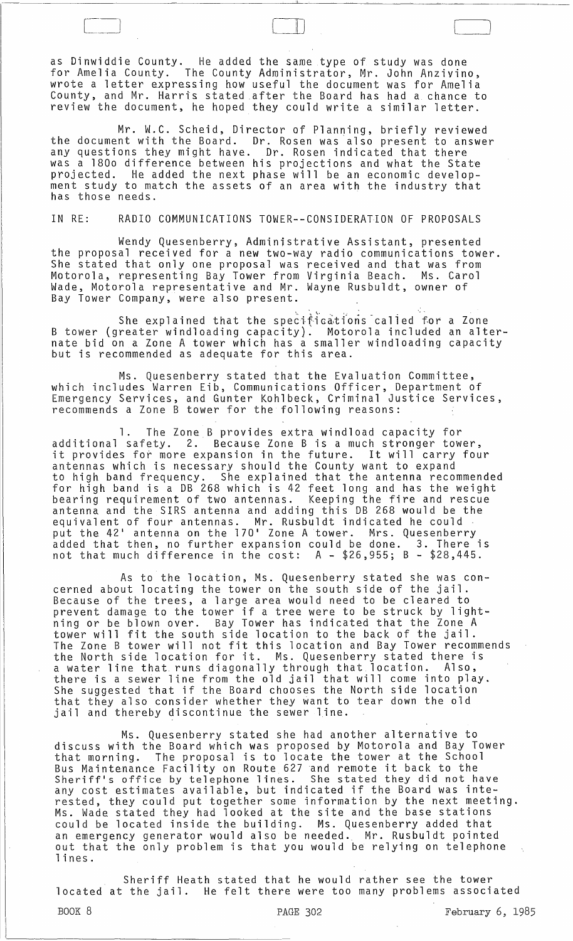as Dinwiddie County. He added the same type of study was done for Amelia County. The County Administrator, Mr. John Anzivino, wrote a letter expressing how useful the document was for Amelia County, and Mr. Harris stated .after the Board has had a chance to review the document, he hoped they could write a similar letter.

.---------------------------~----------------~~----~--~--~--~--~--------------~-

 $\bigcup$ 

Mr. W.C. Scheid, Director of Planning, briefly reviewed the document with the Board. Dr. Rosen was also present to answer any questions they might have. Dr. Rosen indicated that there was a 180o difference between his projections and what the State<br>projected. He added the next phase will be an economic develop-He added the next phase will be an economic development study to match the assets of an area with the industry that has those needs.

IN RE: RADIO COMMUNICATIONS TOWER--CONSIDERATION OF PROPOSALS

Wendy Quesenberry, Administrative Assistant, presented the proposal received for a new two-way radio communications tower. She stated that only one proposal was received and that was from Motorola, representing Bay Tower from Virginia Beach. Ms. Carol Wade, Motorola representative and Mr. Wayne Rusbuldt, owner of Bay Tower Company, were also present.

**She explained that the specifications called for a Zone** B tower (greater windloading capacity). Motorola included an alternate bid on a Zone A tower which has a smaller windloading capacity but is recommended as adequate for this area.

Ms. Quesenberry stated that the Evaluation Committee, which includes Warren Eib, Communications Officer, Department of Emergency Services, and Gunter Kohlbeck, Criminal Justice Services, recommends a Zone B tower for the following reasons:

1. The Zone B provides extra windload capacity for<br>additional safety. 2. Because Zone B is a much stronger tow Because Zone B is a much stronger tower, it provides for more expansion in the future. It will carry four antennas which is necessary should the County want to expand to high band frequency. She explained that the antenna recommended for high band is a DB 268 which is 42 feet long and has the weight bearing requirement of two antennas. Keeping the fire and rescue antenna and the SIRS antenna and adding this DB 268 would be the equivalent of four antennas. Mr. Rusbuldt indicated he could put the 421 antenna on the 170 1 Zone A tower. Mrs. Quesenberry added that then, no further expansion could be done. 3. There is not that much difference in the cost: A - \$26,955; B - \$28,445.

As to the location, Ms. Quesenberry stated she was concerned about locating the tower on the south side of the jail. Because of the trees, a large area would need to be cleared to prevent damage to the tower if a tree were to be struck by lightning or be blown over. Bay Tower has indicated that the Zone A tower will fit the south side location to the back of the jail. The Zone B tower will not fit this location and Bay Tower recommends the North side location for it. Ms. Quesenberry stated there is<br>a water line that runs diagonally through that location. Also, a water line that runs diagonally through that location. there is a sewer line from the old jail that will come into play. She suggested that if the Board chooses the North side location that they also consider whether they want to tear down the old jail and thereby discontinue the sewer line.

Ms. Quesenberry stated she had another alternative to discuss with the Board which was proposed by Motorola and Bay Tower that morning. The proposal is to locate the tower at the School Bus Maintenance Facility on Route 627 and remote it back to the Bus nurmeenance ractivity on Route off and remove to back bo one.<br>Sheriff's office by telephone lines. She stated they did not have any cost estimates available, but indicated if the Board was interested, they could put together some information by the next meeting. Ms. Wade stated they had looked at the site and the base stations could be located inside the building. Ms. Quesenberry added that an emergency generator would also be needed. Mr. Rusbuldt pointed out that the only problem is that you would be relying on telephone lines.

Sheriff Heath stated that he would rather see the tower located at the jail. He felt there were too many problems associated